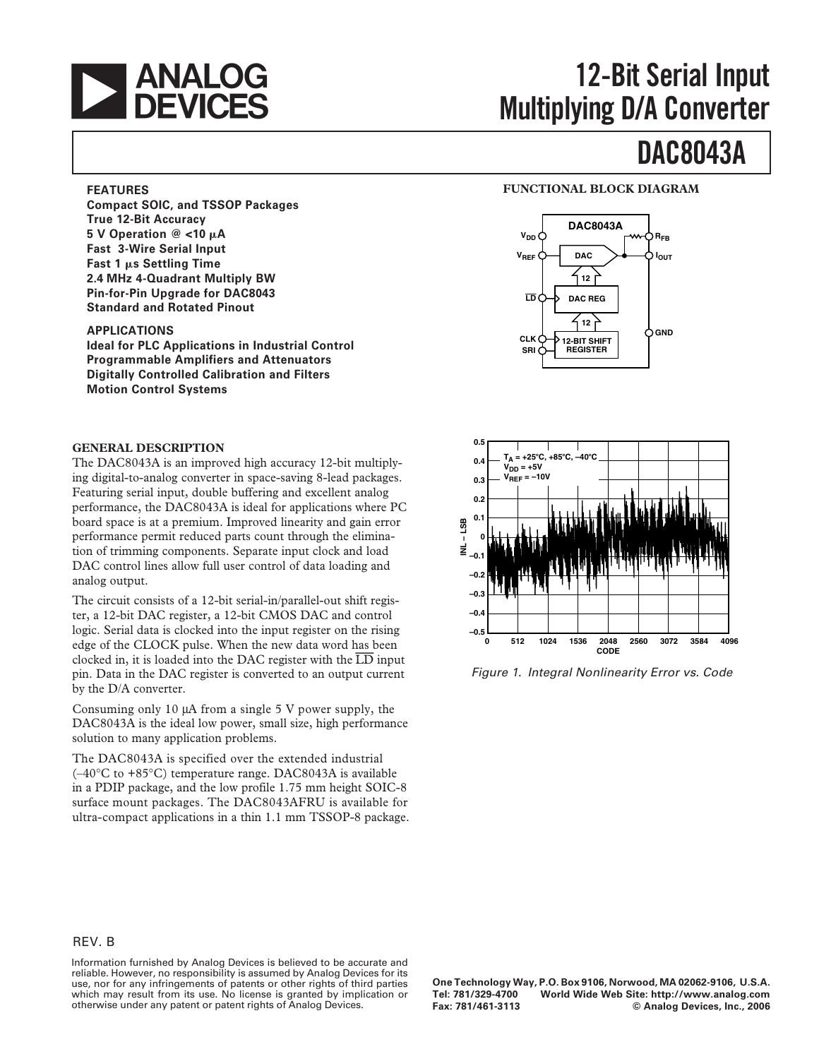

# **12-Bit Serial Input Multiplying D/A Converter**

# **DAC8043A**

### **FEATURES**

**Compact SOIC, and TSSOP Packages True 12-Bit Accuracy 5 V Operation @ <10 A Fast 3-Wire Serial Input Fast 1 s Settling Time 2.4 MHz 4-Quadrant Multiply BW Pin-for-Pin Upgrade for DAC8043 Standard and Rotated Pinout**

### **APPLICATIONS**

**Ideal for PLC Applications in Industrial Control Programmable Amplifiers and Attenuators Digitally Controlled Calibration and Filters Motion Control Systems**

### **GENERAL DESCRIPTION**

The DAC8043A is an improved high accuracy 12-bit multiplying digital-to-analog converter in space-saving 8-lead packages. Featuring serial input, double buffering and excellent analog performance, the DAC8043A is ideal for applications where PC board space is at a premium. Improved linearity and gain error performance permit reduced parts count through the elimination of trimming components. Separate input clock and load DAC control lines allow full user control of data loading and analog output.

The circuit consists of a 12-bit serial-in/parallel-out shift register, a 12-bit DAC register, a 12-bit CMOS DAC and control logic. Serial data is clocked into the input register on the rising edge of the CLOCK pulse. When the new data word has been clocked in, it is loaded into the DAC register with the *LD* input pin. Data in the DAC register is converted to an output current by the D/A converter.

Consuming only 10 µA from a single 5 V power supply, the DAC8043A is the ideal low power, small size, high performance solution to many application problems.

The DAC8043A is specified over the extended industrial (–40°C to +85°C) temperature range. DAC8043A is available in a PDIP package, and the low profile 1.75 mm height SOIC-8 surface mount packages. The DAC8043AFRU is available for ultra-compact applications in a thin 1.1 mm TSSOP-8 package.

### **FUNCTIONAL BLOCK DIAGRAM**





Figure 1. Integral Nonlinearity Error vs. Code

### REV. B

Information furnished by Analog Devices is believed to be accurate and reliable. However, no responsibility is assumed by Analog Devices for its use, nor for any infringements of patents or other rights of third parties which may result from its use. No license is granted by implication or otherwise under any patent or patent rights of Analog Devices.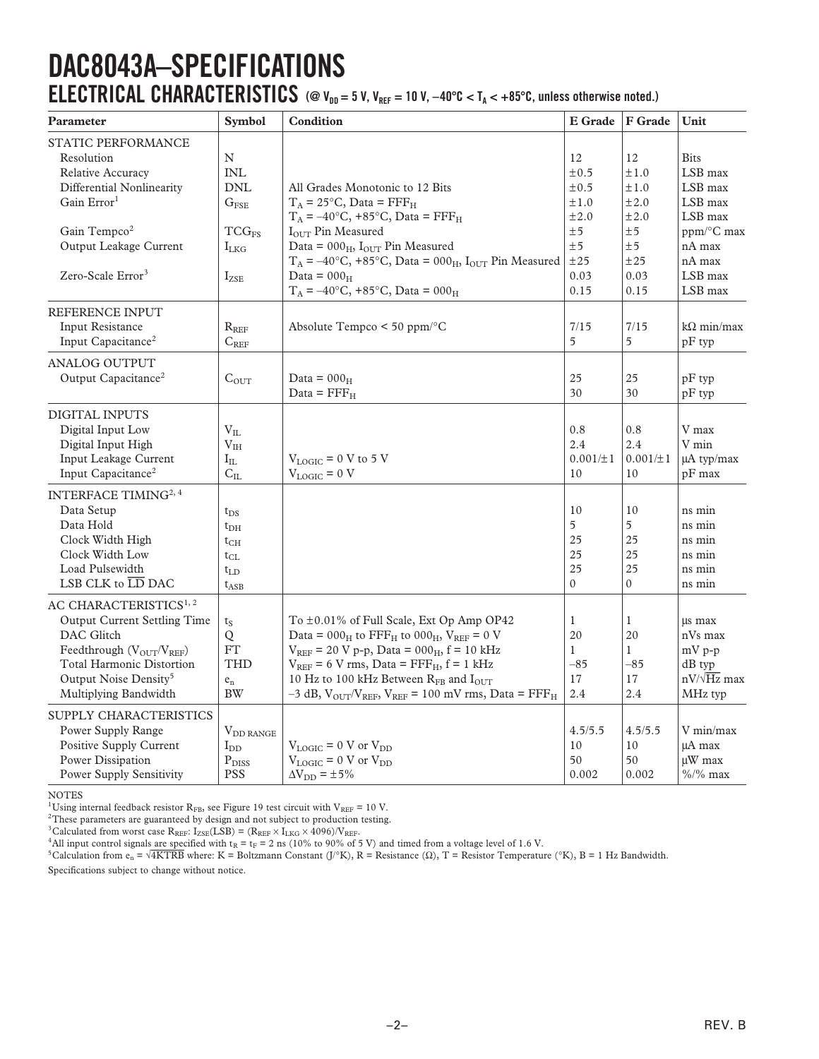# **DAC8043A–SPECIFICATIONS ELECTRICAL CHARACTERISTICS** (@  $V_{DD} = 5$  V,  $V_{REF} = 10$  V,  $-40^{\circ}C < T_A < +85^{\circ}C$ , unless otherwise noted.)

| Parameter                                                                 | <b>Symbol</b>             | Condition                                                                      | <b>E</b> Grade | F Grade        | Unit               |
|---------------------------------------------------------------------------|---------------------------|--------------------------------------------------------------------------------|----------------|----------------|--------------------|
| <b>STATIC PERFORMANCE</b><br>Resolution                                   | N                         |                                                                                | 12             | 12             | <b>Bits</b>        |
| Relative Accuracy                                                         | $\ensuremath{\text{INL}}$ |                                                                                | ±0.5           | ±1.0           | LSB max            |
| Differential Nonlinearity                                                 | <b>DNL</b>                | All Grades Monotonic to 12 Bits                                                | ±0.5           | ±1.0           | LSB max            |
| Gain Error <sup>1</sup>                                                   |                           |                                                                                |                |                |                    |
|                                                                           | $G_{\rm FSE}$             | $T_A = 25$ °C, Data = FFF <sub>H</sub>                                         | ±1.0           | ±2.0           | LSB max            |
|                                                                           |                           | $T_A = -40$ °C, +85°C, Data = FFF <sub>H</sub>                                 | ±2.0           | ±2.0           | LSB max            |
| Gain Tempco <sup>2</sup>                                                  | TCG <sub>FS</sub>         | IOUT Pin Measured                                                              | ±5             | ±5             | ppm/°C max         |
| Output Leakage Current                                                    | $I_{LKG}$                 | Data = $000_H$ , I <sub>OUT</sub> Pin Measured                                 | ±5             | ±5             | nA max             |
|                                                                           |                           | $T_A = -40$ °C, +85°C, Data = 000 <sub>H</sub> , I <sub>OUT</sub> Pin Measured | ±25            | ±25            | nA max             |
| Zero-Scale Error <sup>3</sup>                                             | $I_{ZSE}$                 | Data = $000_H$                                                                 | 0.03           | 0.03           | LSB max            |
|                                                                           |                           | $T_A = -40$ °C, +85°C, Data = 000 <sub>H</sub>                                 | 0.15           | 0.15           | LSB max            |
| REFERENCE INPUT                                                           |                           |                                                                                |                |                |                    |
| Input Resistance                                                          | $R_{REF}$                 | Absolute Tempco < 50 ppm/°C                                                    | 7/15           | 7/15           | $k\Omega$ min/max  |
| Input Capacitance <sup>2</sup>                                            | $C_{REF}$                 |                                                                                | 5              | 5              | $pF$ typ           |
| <b>ANALOG OUTPUT</b>                                                      |                           |                                                                                |                |                |                    |
| Output Capacitance <sup>2</sup>                                           | $C_{\text{OUT}}$          | Data = $000_H$                                                                 | 25             | 25             | $pF$ typ           |
|                                                                           |                           | Data = $\text{FFF}_{\text{H}}$                                                 | 30             | 30             | $pF$ typ           |
| <b>DIGITAL INPUTS</b>                                                     |                           |                                                                                |                |                |                    |
| Digital Input Low                                                         | $\rm V_{II.}$             |                                                                                | 0.8            | 0.8            | V max              |
| Digital Input High                                                        | V <sub>IH</sub>           |                                                                                | 2.4            | 2.4            | V min              |
| Input Leakage Current                                                     | $\rm I_{IL}$              | $V_{LOGIC}$ = 0 V to 5 V                                                       | $0.001/\pm1$   | $0.001/\pm1$   | µA typ/max         |
| Input Capacitance <sup>2</sup>                                            | $C_{IL}$                  | $V_{LOGIC} = 0 V$                                                              | 10             | 10             | $pF$ max           |
| INTERFACE TIMING <sup>2, 4</sup>                                          |                           |                                                                                |                |                |                    |
| Data Setup                                                                | $t_{DS}$                  |                                                                                | 10             | 10             | ns min             |
| Data Hold                                                                 | $t_{\rm DH}$              |                                                                                | 5              | 5              | ns min             |
| Clock Width High                                                          |                           |                                                                                | 25             | 25             | ns min             |
| Clock Width Low                                                           | $t_{CH}$                  |                                                                                | 25             | 25             | ns min             |
| Load Pulsewidth                                                           | $t_{CL}$<br>$t_{LD}$      |                                                                                | 25             | 25             | ns min             |
| LSB CLK to $\overline{\text{LD}}$ DAC                                     |                           |                                                                                | $\mathbf{0}$   | $\overline{0}$ | ns min             |
|                                                                           | $t_{\rm ASB}$             |                                                                                |                |                |                    |
| AC CHARACTERISTICS <sup>1, 2</sup><br><b>Output Current Settling Time</b> |                           | To ±0.01% of Full Scale, Ext Op Amp OP42                                       | $\mathbf{1}$   | 1              | us max             |
| DAC Glitch                                                                | $t_S$                     | Data = $000_H$ to FFF <sub>H</sub> to $000_H$ , $V_{REF} = 0$ V                | 20             | 20             | nVs max            |
|                                                                           | Q                         |                                                                                |                |                |                    |
| Feedthrough $(V_{OUT}/V_{REF})$                                           | FT                        | $V_{REF}$ = 20 V p-p, Data = 000 <sub>H</sub> , f = 10 kHz                     | $\mathbf{1}$   | $\mathbf{1}$   | $mV p-p$           |
| <b>Total Harmonic Distortion</b>                                          | <b>THD</b>                | $V_{REF}$ = 6 V rms, Data = $FFF_H$ , f = 1 kHz                                | $-85$          | $-85$          | $dB$ typ           |
| Output Noise Density <sup>5</sup>                                         | $e_n$                     | 10 Hz to 100 kHz Between RFB and IOUT                                          | 17             | 17             | $nV/\sqrt{Hz}$ max |
| Multiplying Bandwidth                                                     | <b>BW</b>                 | $-3$ dB, $V_{OUT}/V_{REF}$ , $V_{REF}$ = 100 mV rms, Data = FFF <sub>H</sub>   | 2.4            | 2.4            | MHz typ            |
| SUPPLY CHARACTERISTICS                                                    |                           |                                                                                |                |                |                    |
| Power Supply Range                                                        | $V_{DD\,RANGE}$           |                                                                                | 4.5/5.5        | 4.5/5.5        | V min/max          |
| <b>Positive Supply Current</b>                                            | $I_{DD}$                  | $V_{LOGIC} = 0 V$ or $V_{DD}$                                                  | 10             | 10             | uA max             |
| Power Dissipation                                                         | $P_{DISS}$                | $V_{LOGIC} = 0 V$ or $V_{DD}$                                                  | 50             | 50             | µW max             |
| <b>Power Supply Sensitivity</b>                                           | <b>PSS</b>                | $\Delta V_{DD} = \pm 5\%$                                                      | 0.002          | 0.002          | $\%/%$ max         |

NOTES

<sup>1</sup>Using internal feedback resistor  $R_{FB}$ , see Figure 19 test circuit with  $V_{REF}$  = 10 V.

<sup>2</sup>These parameters are guaranteed by design and not subject to production testing.

<sup>3</sup>Calculated from worst case R<sub>REF</sub>: I<sub>ZSE</sub>(LSB) = (R<sub>REF</sub>  $\times$  I<sub>LKG</sub>  $\times$  4096)/V<sub>REF</sub>.

<sup>4</sup>All input control signals are specified with  $t_R = t_F = 2$  ns (10% to 90% of 5 V) and timed from a voltage level of 1.6 V.

<sup>5</sup>Calculation from e<sub>n</sub> =  $\sqrt{4KTRB}$  where: K = Boltzmann Constant (J/°K), R = Resistance (Ω), T = Resistor Temperature (°K), B = 1 Hz Bandwidth.

Specifications subject to change without notice.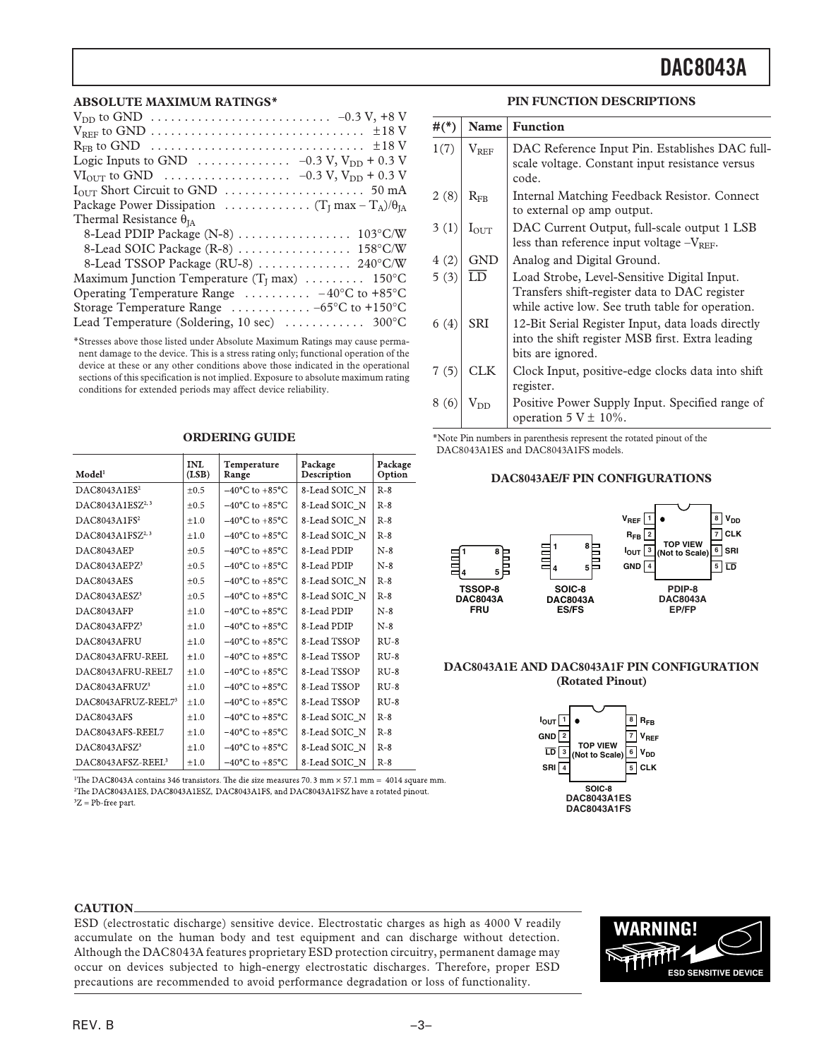#### **ABSOLUTE MAXIMUM RATINGS\***

\*Stresses above those listed under Absolute Maximum Ratings may cause permanent damage to the device. This is a stress rating only; functional operation of the device at these or any other conditions above those indicated in the operational sections of this specification is not implied. Exposure to absolute maximum rating conditions for extended periods may affect device reliability.

| Model <sup>1</sup>            | <b>INL</b><br>(LSB) | Temperature<br>Range               | Package<br>Description | Package<br>Option |
|-------------------------------|---------------------|------------------------------------|------------------------|-------------------|
| DAC8043A1ES <sup>2</sup>      | $\pm 0.5$           | $-40^{\circ}$ C to $+85^{\circ}$ C | 8-Lead SOIC N          | $R-8$             |
| DAC8043A1ESZ <sup>2,3</sup>   | $+0.5$              | $-40^{\circ}$ C to $+85^{\circ}$ C | 8-Lead SOIC N          | $R-8$             |
| DAC8043A1FS <sup>2</sup>      | $+1.0$              | $-40^{\circ}$ C to $+85^{\circ}$ C | 8-Lead SOIC N          | $R-8$             |
| DAC8043A1FSZ <sup>2,3</sup>   | ±1.0                | $-40^{\circ}$ C to $+85^{\circ}$ C | 8-Lead SOIC N          | $R-8$             |
| DAC8043AEP                    | $\pm 0.5$           | $-40^{\circ}$ C to $+85^{\circ}$ C | 8-Lead PDIP            | $N-8$             |
| DAC8043AEPZ <sup>3</sup>      | $\pm 0.5$           | $-40^{\circ}$ C to $+85^{\circ}$ C | 8-Lead PDIP            | $N-8$             |
| DAC8043AES                    | $\pm 0.5$           | $-40^{\circ}$ C to $+85^{\circ}$ C | 8-Lead SOIC N          | $R-8$             |
| DAC8043AESZ <sup>3</sup>      | ±0.5                | $-40^{\circ}$ C to $+85^{\circ}$ C | 8-Lead SOIC N          | $R-8$             |
| DAC8043AFP                    | $+1.0$              | $-40^{\circ}$ C to $+85^{\circ}$ C | 8-Lead PDIP            | $N-8$             |
| DAC8043AFPZ3                  | $+1.0$              | $-40^{\circ}$ C to $+85^{\circ}$ C | 8-Lead PDIP            | $N-8$             |
| DAC8043AFRU                   | $+1.0$              | $-40^{\circ}$ C to $+85^{\circ}$ C | 8-Lead TSSOP           | $RU-8$            |
| DAC8043AFRU-REEL              | ±1.0                | $-40^{\circ}$ C to $+85^{\circ}$ C | 8-Lead TSSOP           | $RU-8$            |
| DAC8043AFRU-REEL7             | ±1.0                | $-40^{\circ}$ C to $+85^{\circ}$ C | 8-Lead TSSOP           | $RU-8$            |
| DAC8043AFRUZ <sup>3</sup>     | ±1.0                | $-40^{\circ}$ C to $+85^{\circ}$ C | 8-Lead TSSOP           | $RU-8$            |
| DAC8043AFRUZ-REEL73           | $+1.0$              | $-40^{\circ}$ C to $+85^{\circ}$ C | 8-Lead TSSOP           | $RU-8$            |
| DAC8043AFS                    | $+1.0$              | $-40^{\circ}$ C to $+85^{\circ}$ C | 8-Lead SOIC N          | $R-8$             |
| DAC8043AFS-REEL7              | ±1.0                | $-40^{\circ}$ C to $+85^{\circ}$ C | 8-Lead SOIC N          | $R-8$             |
| DAC8043AFSZ <sup>3</sup>      | ±1.0                | $-40^{\circ}$ C to $+85^{\circ}$ C | 8-Lead SOIC N          | $R-8$             |
| DAC8043AFSZ-REEL <sup>3</sup> | ±1.0                | $-40^{\circ}$ C to $+85^{\circ}$ C | 8-Lead SOIC N          | $R-8$             |

#### **ORDERING GUIDE**

<sup>1</sup>The DAC8043A contains 346 transistors. The die size measures 70.3 mm  $\times$  57.1 mm = 4014 square mm. <sup>2</sup>The DAC8043A1ES, DAC8043A1ESZ, DAC8043A1FS, and DAC8043A1FSZ have a rotated pinout.  ${}^{3}Z$  = Pb-free part.

### **PIN FUNCTION DESCRIPTIONS**

| $#(^{*})$ | Name             | <b>Function</b>                                                                                                                                  |
|-----------|------------------|--------------------------------------------------------------------------------------------------------------------------------------------------|
| 1(7)      | $V_{REF}$        | DAC Reference Input Pin. Establishes DAC full-<br>scale voltage. Constant input resistance versus<br>code.                                       |
| 2(8)      | $R_{\rm FR}$     | Internal Matching Feedback Resistor. Connect<br>to external op amp output.                                                                       |
| 3(1)      | $I_{\text{OUT}}$ | DAC Current Output, full-scale output 1 LSB<br>less than reference input voltage $-V_{REF}$ .                                                    |
| 4(2)      | <b>GND</b>       | Analog and Digital Ground.                                                                                                                       |
| 5(3)      | $\overline{LD}$  | Load Strobe, Level-Sensitive Digital Input.<br>Transfers shift-register data to DAC register<br>while active low. See truth table for operation. |
| 6(4)      | <b>SRI</b>       | 12-Bit Serial Register Input, data loads directly<br>into the shift register MSB first. Extra leading<br>bits are ignored.                       |
| 7(5)      | <b>CLK</b>       | Clock Input, positive-edge clocks data into shift<br>register.                                                                                   |
| 8 (6)     | $\rm V_{DD}$     | Positive Power Supply Input. Specified range of<br>operation $5 \text{ V} \pm 10\%$ .                                                            |

\*Note Pin numbers in parenthesis represent the rotated pinout of the DAC8043A1ES and DAC8043A1FS models.

#### **DAC8043AE/F PIN CONFIGURATIONS**



#### **DAC8043A1E AND DAC8043A1F PIN CONFIGURATION (Rotated Pinout)**



#### **CAUTION**

ESD (electrostatic discharge) sensitive device. Electrostatic charges as high as 4000 V readily accumulate on the human body and test equipment and can discharge without detection. Although the DAC8043A features proprietary ESD protection circuitry, permanent damage may occur on devices subjected to high-energy electrostatic discharges. Therefore, proper ESD precautions are recommended to avoid performance degradation or loss of functionality.

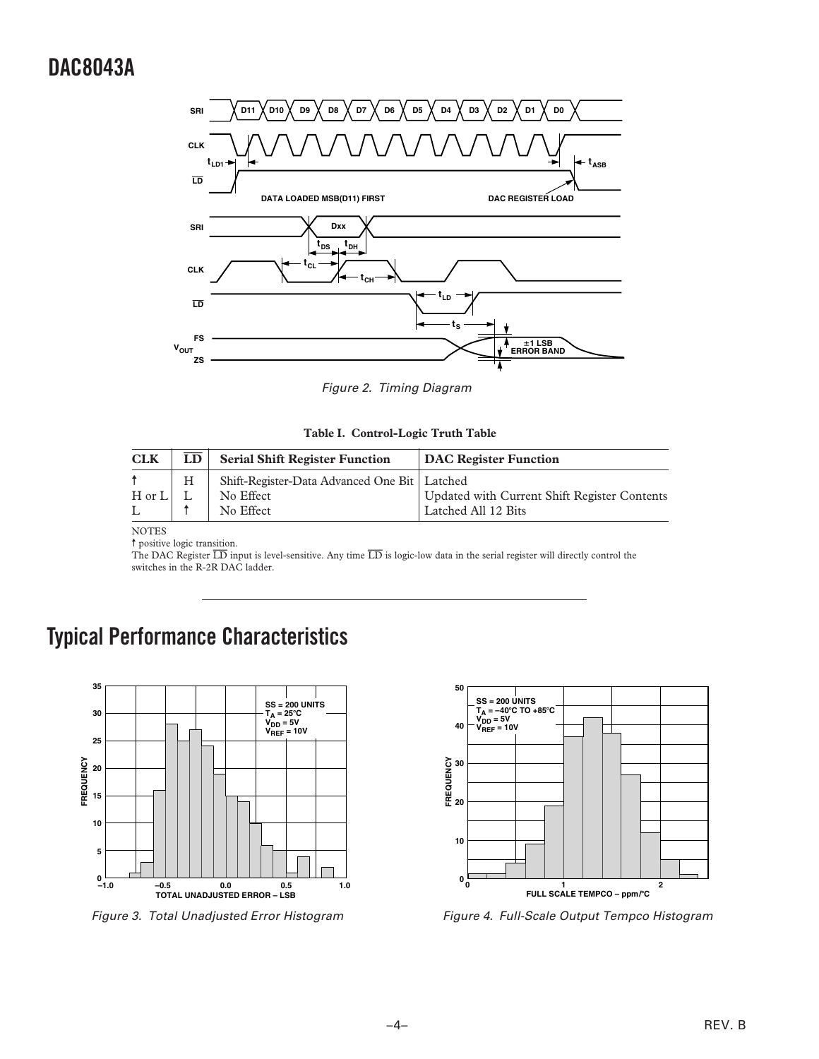<span id="page-3-0"></span>

Figure 2. Timing Diagram

| Table I. Control-Logic Truth Table |  |  |  |  |
|------------------------------------|--|--|--|--|
|------------------------------------|--|--|--|--|

| <b>CLK</b> | LD | <b>Serial Shift Register Function</b>                                    | <b>DAC Register Function</b>                                        |
|------------|----|--------------------------------------------------------------------------|---------------------------------------------------------------------|
| $H$ or $L$ | H  | Shift-Register-Data Advanced One Bit   Latched<br>No Effect<br>No Effect | Updated with Current Shift Register Contents<br>Latched All 12 Bits |

NOTES

 $\dagger$  positive logic transition.

The DAC Register  $\overline{LD}$  input is level-sensitive. Any time  $\overline{LD}$  is logic-low data in the serial register will directly control the switches in the R-2R DAC ladder.

# **Typical Performance Characteristics**



Figure 3. Total Unadjusted Error Histogram



Figure 4. Full-Scale Output Tempco Histogram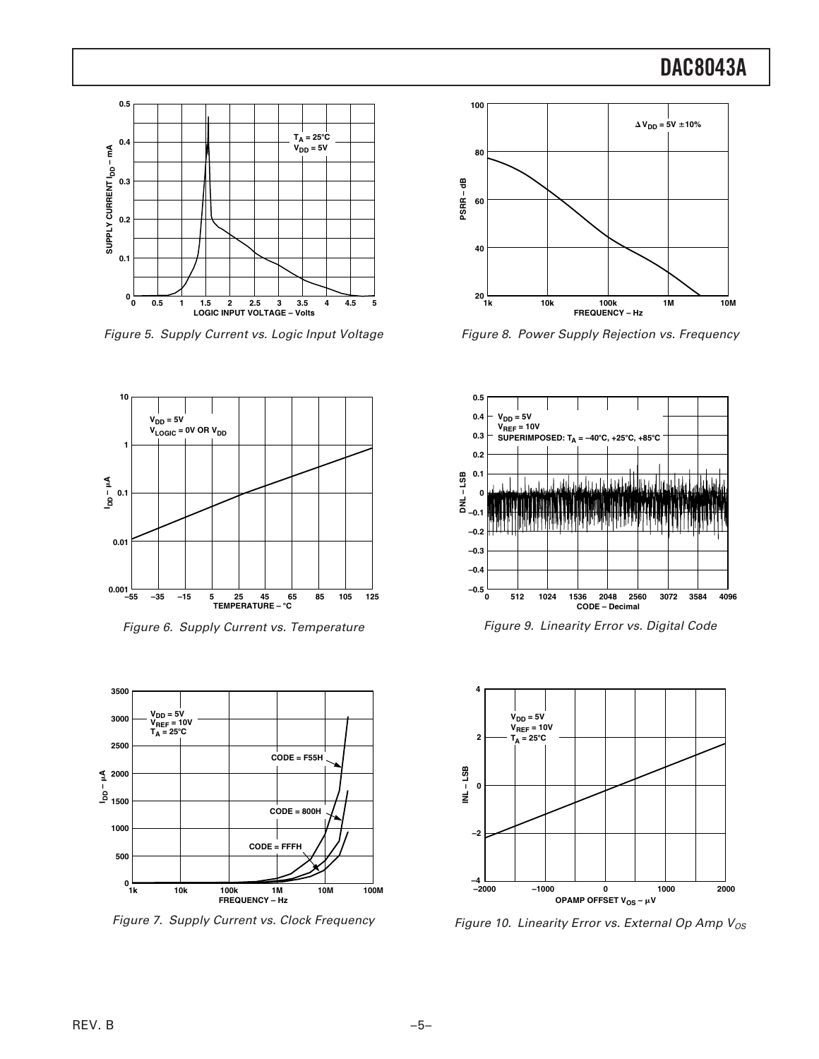

Figure 5. Supply Current vs. Logic Input Voltage



Figure 6. Supply Current vs. Temperature



Figure 7. Supply Current vs. Clock Frequency



Figure 8. Power Supply Rejection vs. Frequency



Figure 9. Linearity Error vs. Digital Code



Figure 10. Linearity Error vs. External Op Amp  $V_{OS}$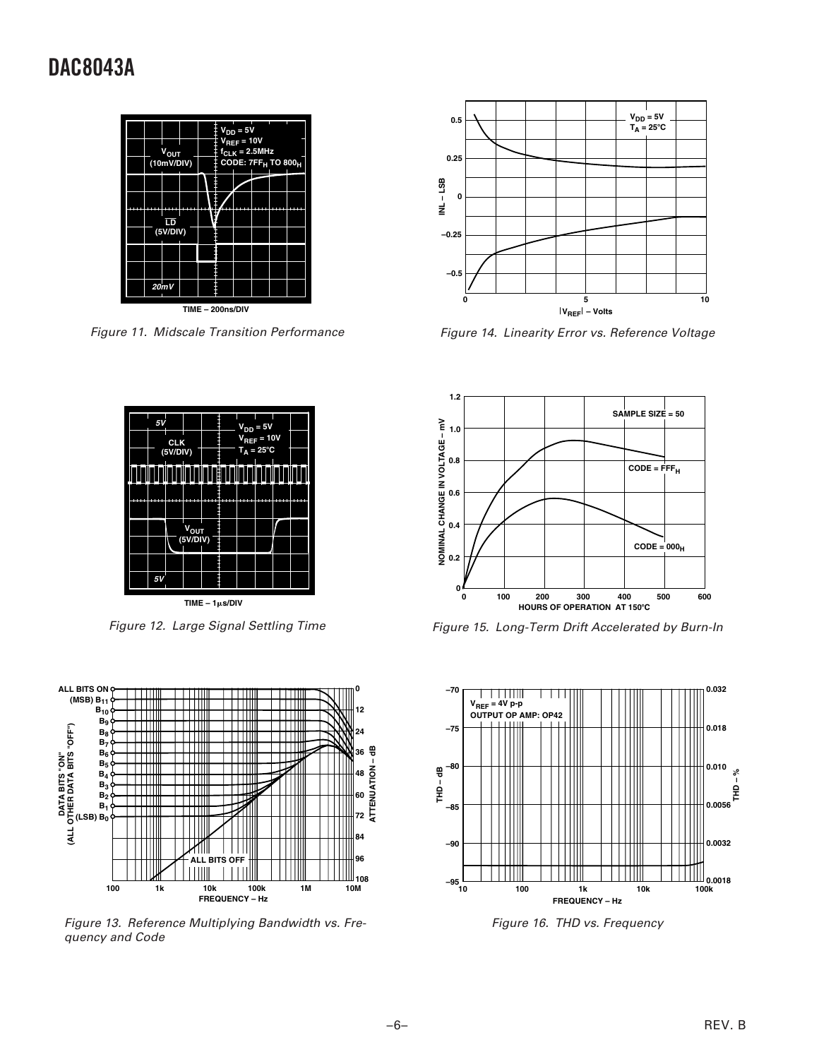

Figure 11. Midscale Transition Performance



Figure 14. Linearity Error vs. Reference Voltage



Figure 12. Large Signal Settling Time



Figure 13. Reference Multiplying Bandwidth vs. Frequency and Code



Figure 15. Long-Term Drift Accelerated by Burn-In



Figure 16. THD vs. Frequency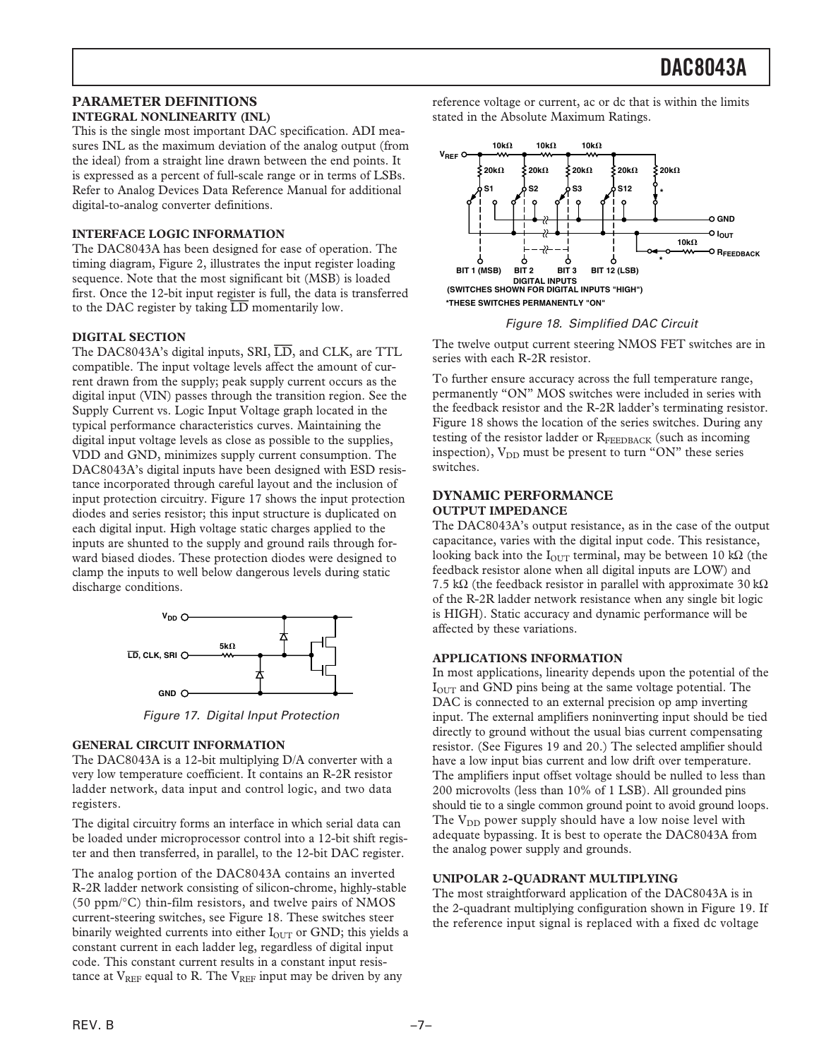### **PARAMETER DEFINITIONS INTEGRAL NONLINEARITY (INL)**

This is the single most important DAC specification. ADI measures INL as the maximum deviation of the analog output (from the ideal) from a straight line drawn between the end points. It is expressed as a percent of full-scale range or in terms of LSBs. Refer to Analog Devices Data Reference Manual for additional digital-to-analog converter definitions.

### **INTERFACE LOGIC INFORMATION**

The DAC8043A has been designed for ease of operation. The timing diagram[, Figure 2, illu](#page-3-0)strates the input register loading sequence. Note that the most significant bit (MSB) is loaded first. Once the 12-bit input register is full, the data is transferred to the DAC register by taking *LD* momentarily low.

### **DIGITAL SECTION**

The DAC8043A's digital inputs, SRI, *LD*, and CLK, are TTL compatible. The input voltage levels affect the amount of current drawn from the supply; peak supply current occurs as the digital input (VIN) passes through the transition region. See the Supply Current vs. Logic Input Voltage graph located in the typical performance characteristics curves. Maintaining the digital input voltage levels as close as possible to the supplies, VDD and GND, minimizes supply current consumption. The DAC8043A's digital inputs have been designed with ESD resistance incorporated through careful layout and the inclusion of input protection circuitry. Figure 17 shows the input protection diodes and series resistor; this input structure is duplicated on each digital input. High voltage static charges applied to the inputs are shunted to the supply and ground rails through forward biased diodes. These protection diodes were designed to clamp the inputs to well below dangerous levels during static discharge conditions.



Figure 17. Digital Input Protection

### **GENERAL CIRCUIT INFORMATION**

The DAC8043A is a 12-bit multiplying D/A converter with a very low temperature coefficient. It contains an R-2R resistor ladder network, data input and control logic, and two data registers.

The digital circuitry forms an interface in which serial data can be loaded under microprocessor control into a 12-bit shift register and then transferred, in parallel, to the 12-bit DAC register.

The analog portion of the DAC8043A contains an inverted R-2R ladder network consisting of silicon-chrome, highly-stable (50 ppm/°C) thin-film resistors, and twelve pairs of NMOS current-steering switches, see Figure 18. These switches steer binarily weighted currents into either  $I<sub>OUT</sub>$  or GND; this yields a constant current in each ladder leg, regardless of digital input code. This constant current results in a constant input resistance at  $V_{REF}$  equal to R. The  $V_{REF}$  input may be driven by any

reference voltage or current, ac or dc that is within the limits stated in the Absolute Maximum Ratings.



### Figure 18. Simplified DAC Circuit

The twelve output current steering NMOS FET switches are in series with each R-2R resistor.

To further ensure accuracy across the full temperature range, permanently "ON" MOS switches were included in series with the feedback resistor and the R-2R ladder's terminating resistor. Figure 18 shows the location of the series switches. During any testing of the resistor ladder or RFEEDBACK (such as incoming inspection),  $V_{DD}$  must be present to turn "ON" these series switches.

### **DYNAMIC PERFORMANCE OUTPUT IMPEDANCE**

The DAC8043A's output resistance, as in the case of the output capacitance, varies with the digital input code. This resistance, looking back into the  $I_{\text{OUT}}$  terminal, may be between 10 kΩ (the feedback resistor alone when all digital inputs are LOW) and 7.5 kΩ (the feedback resistor in parallel with approximate 30 kΩ of the R-2R ladder network resistance when any single bit logic is HIGH). Static accuracy and dynamic performance will be affected by these variations.

### **APPLICATIONS INFORMATION**

In most applications, linearity depends upon the potential of the  $I<sub>OUT</sub>$  and GND pins being at the same voltage potential. The DAC is connected to an external precision op amp inverting input. The external amplifiers noninverting input should be tied directly to ground without the usual bias current compensating resistor. (Se[e Figures 19 and 20.\) Th](#page-7-0)e selected amplifier should have a low input bias current and low drift over temperature. The amplifiers input offset voltage should be nulled to less than 200 microvolts (less than 10% of 1 LSB). All grounded pins should tie to a single common ground point to avoid ground loops. The  $V_{DD}$  power supply should have a low noise level with adequate bypassing. It is best to operate the DAC8043A from the analog power supply and grounds.

### **UNIPOLAR 2-QUADRANT MULTIPLYING**

The most straightforward application of the DAC8043A is in the 2-quadrant multiplying configuration shown in [Figure 19. If](#page-7-0) the reference input signal is replaced with a fixed dc voltage